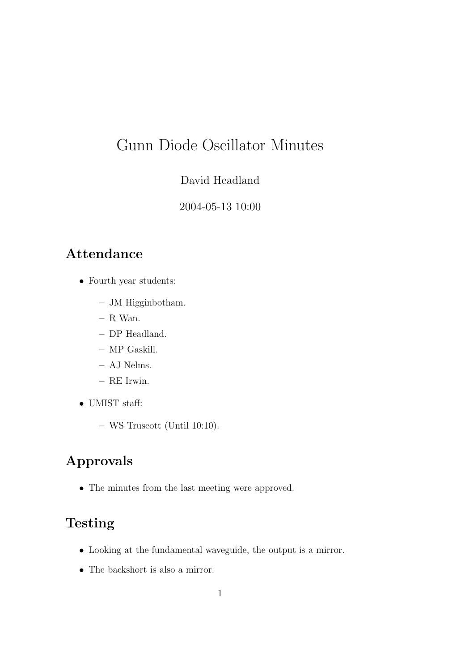# Gunn Diode Oscillator Minutes

#### David Headland

#### 2004-05-13 10:00

#### Attendance

- Fourth year students:
	- JM Higginbotham.
	- R Wan.
	- DP Headland.
	- MP Gaskill.
	- AJ Nelms.
	- RE Irwin.
- UMIST staff:
	- WS Truscott (Until 10:10).

## Approvals

• The minutes from the last meeting were approved.

### Testing

- Looking at the fundamental waveguide, the output is a mirror.
- The backshort is also a mirror.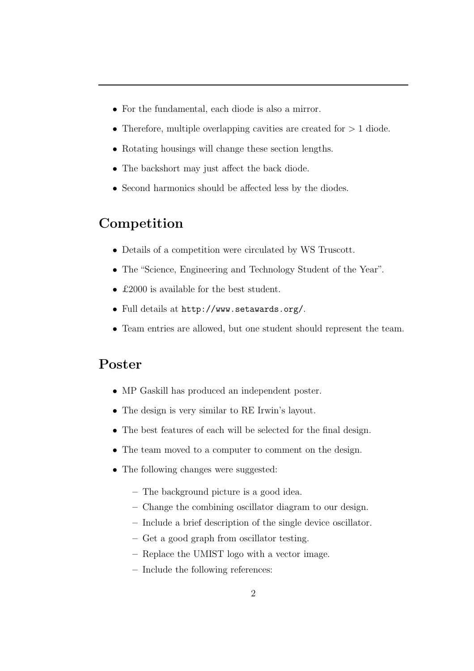- For the fundamental, each diode is also a mirror.
- Therefore, multiple overlapping cavities are created for  $> 1$  diode.
- Rotating housings will change these section lengths.
- The backshort may just affect the back diode.
- Second harmonics should be affected less by the diodes.

#### Competition

- Details of a competition were circulated by WS Truscott.
- The "Science, Engineering and Technology Student of the Year".
- £2000 is available for the best student.
- Full details at http://www.setawards.org/.
- Team entries are allowed, but one student should represent the team.

#### Poster

- MP Gaskill has produced an independent poster.
- The design is very similar to RE Irwin's layout.
- The best features of each will be selected for the final design.
- The team moved to a computer to comment on the design.
- The following changes were suggested:
	- The background picture is a good idea.
	- Change the combining oscillator diagram to our design.
	- Include a brief description of the single device oscillator.
	- Get a good graph from oscillator testing.
	- Replace the UMIST logo with a vector image.
	- Include the following references: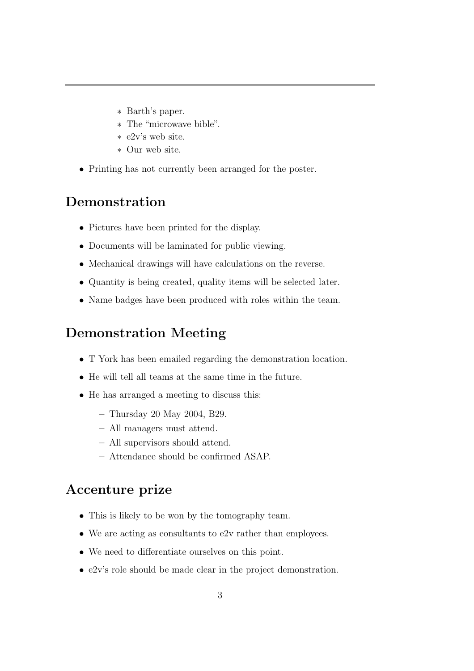- ∗ Barth's paper.
- ∗ The "microwave bible".
- ∗ e2v's web site.
- ∗ Our web site.
- Printing has not currently been arranged for the poster.

### Demonstration

- Pictures have been printed for the display.
- Documents will be laminated for public viewing.
- Mechanical drawings will have calculations on the reverse.
- Quantity is being created, quality items will be selected later.
- Name badges have been produced with roles within the team.

### Demonstration Meeting

- T York has been emailed regarding the demonstration location.
- He will tell all teams at the same time in the future.
- He has arranged a meeting to discuss this:
	- Thursday 20 May 2004, B29.
	- All managers must attend.
	- All supervisors should attend.
	- Attendance should be confirmed ASAP.

## Accenture prize

- This is likely to be won by the tomography team.
- We are acting as consultants to e2v rather than employees.
- We need to differentiate ourselves on this point.
- e2v's role should be made clear in the project demonstration.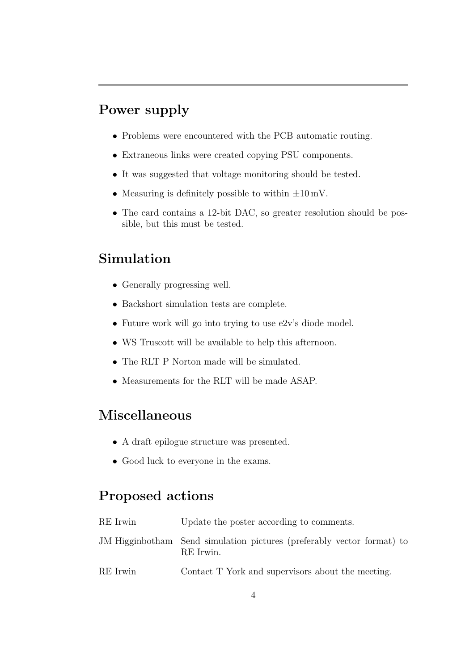### Power supply

- Problems were encountered with the PCB automatic routing.
- Extraneous links were created copying PSU components.
- It was suggested that voltage monitoring should be tested.
- Measuring is definitely possible to within  $\pm 10 \,\mathrm{mV}$ .
- The card contains a 12-bit DAC, so greater resolution should be possible, but this must be tested.

### Simulation

- Generally progressing well.
- Backshort simulation tests are complete.
- Future work will go into trying to use e2v's diode model.
- WS Truscott will be available to help this afternoon.
- The RLT P Norton made will be simulated.
- Measurements for the RLT will be made ASAP.

### Miscellaneous

- A draft epilogue structure was presented.
- Good luck to everyone in the exams.

### Proposed actions

| RE Irwin | Update the poster according to comments.                                            |
|----------|-------------------------------------------------------------------------------------|
|          | JM Higginbotham Send simulation pictures (preferably vector format) to<br>RE Irwin. |
| RE Irwin | Contact T York and supervisors about the meeting.                                   |